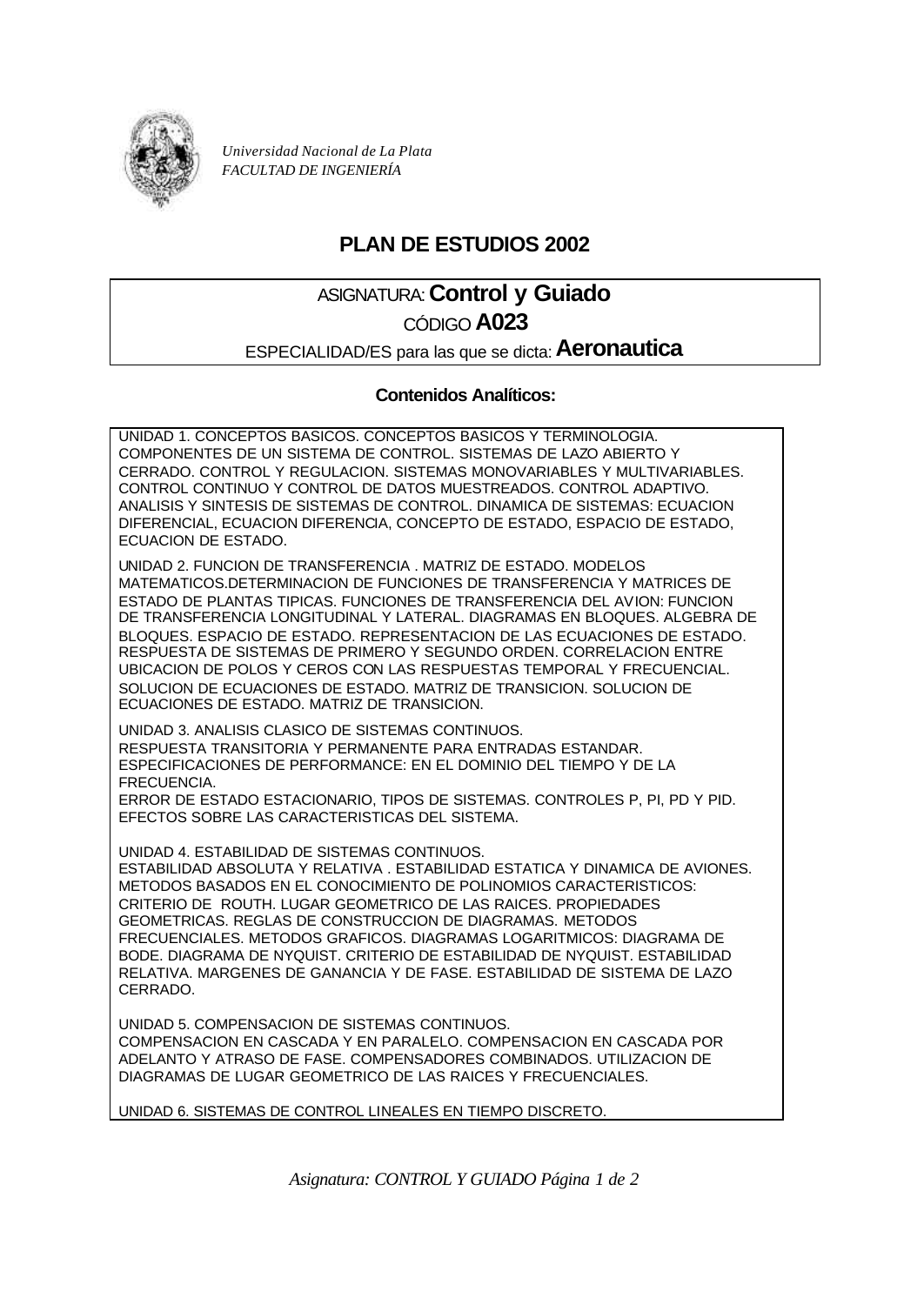

*Universidad Nacional de La Plata FACULTAD DE INGENIERÍA*

## **PLAN DE ESTUDIOS 2002**

# ASIGNATURA: **Control y Guiado**

### CÓDIGO **A023**

ESPECIALIDAD/ES para las que se dicta: **Aeronautica**

#### **Contenidos Analíticos:**

UNIDAD 1. CONCEPTOS BASICOS. CONCEPTOS BASICOS Y TERMINOLOGIA. COMPONENTES DE UN SISTEMA DE CONTROL. SISTEMAS DE LAZO ABIERTO Y CERRADO. CONTROL Y REGULACION. SISTEMAS MONOVARIABLES Y MULTIVARIABLES. CONTROL CONTINUO Y CONTROL DE DATOS MUESTREADOS. CONTROL ADAPTIVO. ANALISIS Y SINTESIS DE SISTEMAS DE CONTROL. DINAMICA DE SISTEMAS: ECUACION DIFERENCIAL, ECUACION DIFERENCIA, CONCEPTO DE ESTADO, ESPACIO DE ESTADO, ECUACION DE ESTADO.

UNIDAD 2. FUNCION DE TRANSFERENCIA . MATRIZ DE ESTADO. MODELOS MATEMATICOS.DETERMINACION DE FUNCIONES DE TRANSFERENCIA Y MATRICES DE ESTADO DE PLANTAS TIPICAS. FUNCIONES DE TRANSFERENCIA DEL AVION: FUNCION DE TRANSFERENCIA LONGITUDINAL Y LATERAL. DIAGRAMAS EN BLOQUES. ALGEBRA DE BLOQUES. ESPACIO DE ESTADO. REPRESENTACION DE LAS ECUACIONES DE ESTADO. RESPUESTA DE SISTEMAS DE PRIMERO Y SEGUNDO ORDEN. CORRELACION ENTRE UBICACION DE POLOS Y CEROS CON LAS RESPUESTAS TEMPORAL Y FRECUENCIAL. SOLUCION DE ECUACIONES DE ESTADO. MATRIZ DE TRANSICION. SOLUCION DE ECUACIONES DE ESTADO. MATRIZ DE TRANSICION.

UNIDAD 3. ANALISIS CLASICO DE SISTEMAS CONTINUOS. RESPUESTA TRANSITORIA Y PERMANENTE PARA ENTRADAS ESTANDAR. ESPECIFICACIONES DE PERFORMANCE: EN EL DOMINIO DEL TIEMPO Y DE LA FRECUENCIA.

ERROR DE ESTADO ESTACIONARIO, TIPOS DE SISTEMAS. CONTROLES P, PI, PD Y PID. EFECTOS SOBRE LAS CARACTERISTICAS DEL SISTEMA.

UNIDAD 4. ESTABILIDAD DE SISTEMAS CONTINUOS.

ESTABILIDAD ABSOLUTA Y RELATIVA . ESTABILIDAD ESTATICA Y DINAMICA DE AVIONES. METODOS BASADOS EN EL CONOCIMIENTO DE POLINOMIOS CARACTERISTICOS: CRITERIO DE ROUTH. LUGAR GEOMETRICO DE LAS RAICES. PROPIEDADES GEOMETRICAS. REGLAS DE CONSTRUCCION DE DIAGRAMAS. METODOS FRECUENCIALES. METODOS GRAFICOS. DIAGRAMAS LOGARITMICOS: DIAGRAMA DE BODE. DIAGRAMA DE NYQUIST. CRITERIO DE ESTABILIDAD DE NYQUIST. ESTABILIDAD RELATIVA. MARGENES DE GANANCIA Y DE FASE. ESTABILIDAD DE SISTEMA DE LAZO CERRADO.

UNIDAD 5. COMPENSACION DE SISTEMAS CONTINUOS. COMPENSACION EN CASCADA Y EN PARALELO. COMPENSACION EN CASCADA POR ADELANTO Y ATRASO DE FASE. COMPENSADORES COMBINADOS. UTILIZACION DE DIAGRAMAS DE LUGAR GEOMETRICO DE LAS RAICES Y FRECUENCIALES.

UNIDAD 6. SISTEMAS DE CONTROL LINEALES EN TIEMPO DISCRETO.

*Asignatura: CONTROL Y GUIADO Página 1 de 2*